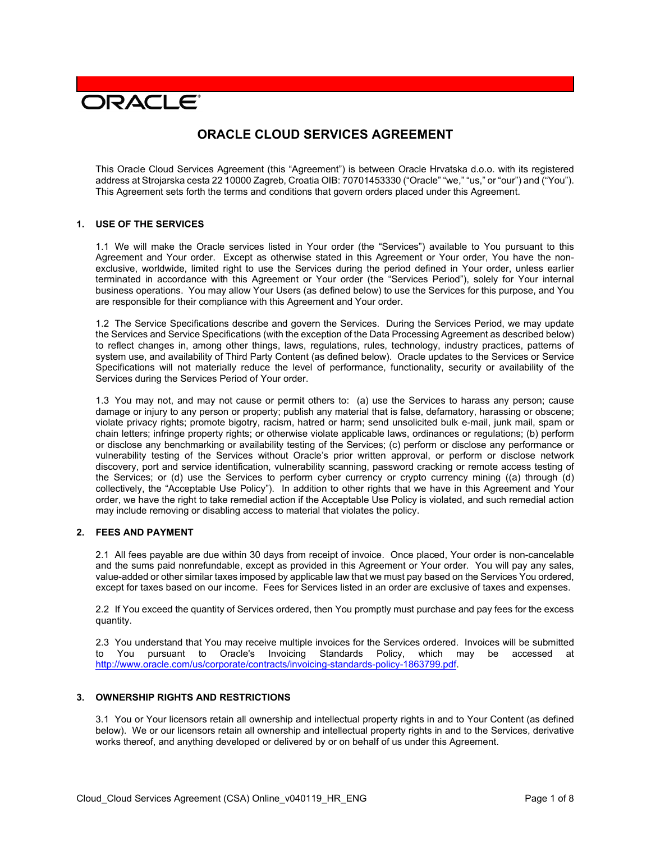# **DRACLE**

# **ORACLE CLOUD SERVICES AGREEMENT**

This Oracle Cloud Services Agreement (this "Agreement") is between Oracle Hrvatska d.o.o. with its registered address at Strojarska cesta 22 10000 Zagreb, Croatia OIB: 70701453330 ("Oracle" "we," "us," or "our") and ("You"). This Agreement sets forth the terms and conditions that govern orders placed under this Agreement.

#### **1. USE OF THE SERVICES**

1.1 We will make the Oracle services listed in Your order (the "Services") available to You pursuant to this Agreement and Your order. Except as otherwise stated in this Agreement or Your order, You have the nonexclusive, worldwide, limited right to use the Services during the period defined in Your order, unless earlier terminated in accordance with this Agreement or Your order (the "Services Period"), solely for Your internal business operations. You may allow Your Users (as defined below) to use the Services for this purpose, and You are responsible for their compliance with this Agreement and Your order.

1.2 The Service Specifications describe and govern the Services. During the Services Period, we may update the Services and Service Specifications (with the exception of the Data Processing Agreement as described below) to reflect changes in, among other things, laws, regulations, rules, technology, industry practices, patterns of system use, and availability of Third Party Content (as defined below). Oracle updates to the Services or Service Specifications will not materially reduce the level of performance, functionality, security or availability of the Services during the Services Period of Your order.

1.3 You may not, and may not cause or permit others to: (a) use the Services to harass any person; cause damage or injury to any person or property; publish any material that is false, defamatory, harassing or obscene; violate privacy rights; promote bigotry, racism, hatred or harm; send unsolicited bulk e-mail, junk mail, spam or chain letters; infringe property rights; or otherwise violate applicable laws, ordinances or regulations; (b) perform or disclose any benchmarking or availability testing of the Services; (c) perform or disclose any performance or vulnerability testing of the Services without Oracle's prior written approval, or perform or disclose network discovery, port and service identification, vulnerability scanning, password cracking or remote access testing of the Services; or (d) use the Services to perform cyber currency or crypto currency mining ((a) through (d) collectively, the "Acceptable Use Policy"). In addition to other rights that we have in this Agreement and Your order, we have the right to take remedial action if the Acceptable Use Policy is violated, and such remedial action may include removing or disabling access to material that violates the policy.

# **2. FEES AND PAYMENT**

2.1 All fees payable are due within 30 days from receipt of invoice. Once placed, Your order is non-cancelable and the sums paid nonrefundable, except as provided in this Agreement or Your order. You will pay any sales, value-added or other similar taxes imposed by applicable law that we must pay based on the Services You ordered, except for taxes based on our income. Fees for Services listed in an order are exclusive of taxes and expenses.

2.2 If You exceed the quantity of Services ordered, then You promptly must purchase and pay fees for the excess quantity.

2.3 You understand that You may receive multiple invoices for the Services ordered. Invoices will be submitted<br>to You pursuant to Oracle's Invoicing Standards Policy, which may be accessed at Standards Policy, which may be accessed at [http://www.oracle.com/us/corporate/contracts/invoicing-standards-policy-1863799.pdf.](http://www.oracle.com/us/corporate/contracts/invoicing-standards-policy-1863799.pdf)

#### **3. OWNERSHIP RIGHTS AND RESTRICTIONS**

3.1 You or Your licensors retain all ownership and intellectual property rights in and to Your Content (as defined below). We or our licensors retain all ownership and intellectual property rights in and to the Services, derivative works thereof, and anything developed or delivered by or on behalf of us under this Agreement.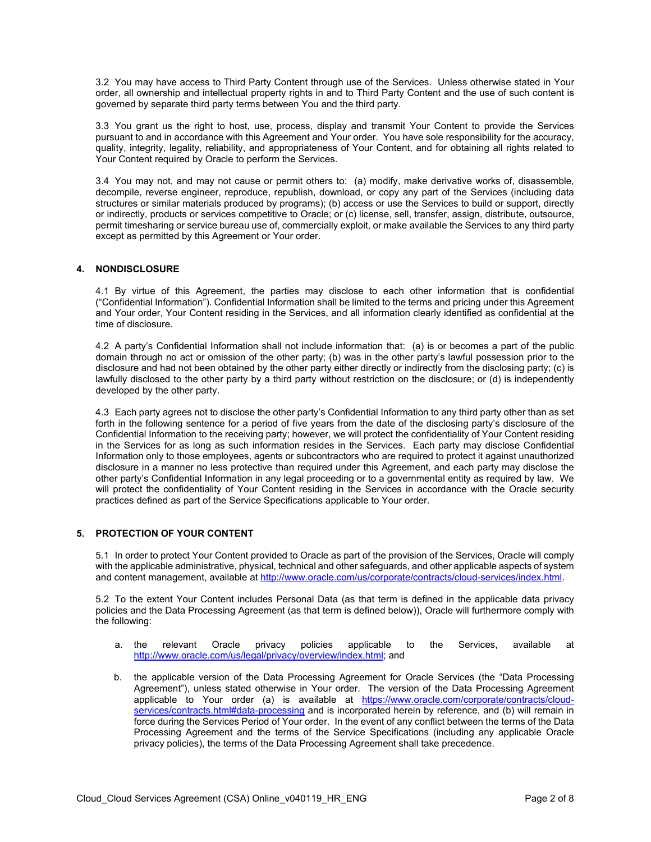3.2 You may have access to Third Party Content through use of the Services. Unless otherwise stated in Your order, all ownership and intellectual property rights in and to Third Party Content and the use of such content is governed by separate third party terms between You and the third party.

3.3 You grant us the right to host, use, process, display and transmit Your Content to provide the Services pursuant to and in accordance with this Agreement and Your order. You have sole responsibility for the accuracy, quality, integrity, legality, reliability, and appropriateness of Your Content, and for obtaining all rights related to Your Content required by Oracle to perform the Services.

3.4 You may not, and may not cause or permit others to: (a) modify, make derivative works of, disassemble, decompile, reverse engineer, reproduce, republish, download, or copy any part of the Services (including data structures or similar materials produced by programs); (b) access or use the Services to build or support, directly or indirectly, products or services competitive to Oracle; or (c) license, sell, transfer, assign, distribute, outsource, permit timesharing or service bureau use of, commercially exploit, or make available the Services to any third party except as permitted by this Agreement or Your order.

# **4. NONDISCLOSURE**

4.1 By virtue of this Agreement, the parties may disclose to each other information that is confidential ("Confidential Information"). Confidential Information shall be limited to the terms and pricing under this Agreement and Your order, Your Content residing in the Services, and all information clearly identified as confidential at the time of disclosure.

4.2 A party's Confidential Information shall not include information that: (a) is or becomes a part of the public domain through no act or omission of the other party; (b) was in the other party's lawful possession prior to the disclosure and had not been obtained by the other party either directly or indirectly from the disclosing party; (c) is lawfully disclosed to the other party by a third party without restriction on the disclosure; or (d) is independently developed by the other party.

4.3 Each party agrees not to disclose the other party's Confidential Information to any third party other than as set forth in the following sentence for a period of five years from the date of the disclosing party's disclosure of the Confidential Information to the receiving party; however, we will protect the confidentiality of Your Content residing in the Services for as long as such information resides in the Services. Each party may disclose Confidential Information only to those employees, agents or subcontractors who are required to protect it against unauthorized disclosure in a manner no less protective than required under this Agreement, and each party may disclose the other party's Confidential Information in any legal proceeding or to a governmental entity as required by law. We will protect the confidentiality of Your Content residing in the Services in accordance with the Oracle security practices defined as part of the Service Specifications applicable to Your order.

# **5. PROTECTION OF YOUR CONTENT**

5.1 In order to protect Your Content provided to Oracle as part of the provision of the Services, Oracle will comply with the applicable administrative, physical, technical and other safeguards, and other applicable aspects of system and content management, available at [http://www.oracle.com/us/corporate/contracts/cloud-services/index.html.](http://www.oracle.com/us/corporate/contracts/cloud-services/index.html)

5.2 To the extent Your Content includes Personal Data (as that term is defined in the applicable data privacy policies and the Data Processing Agreement (as that term is defined below)), Oracle will furthermore comply with the following:

- a. the relevant Oracle privacy policies applicable to the Services, available at [http://www.oracle.com/us/legal/privacy/overview/index.html;](http://www.oracle.com/us/legal/privacy/overview/index.html) and
- b. the applicable version of the Data Processing Agreement for Oracle Services (the "Data Processing Agreement"), unless stated otherwise in Your order. The version of the Data Processing Agreement applicable to Your order (a) is available at [https://www.oracle.com/corporate/contracts/cloud](https://www.oracle.com/corporate/contracts/cloud-services/contracts.html#data-processing)[services/contracts.html#data-processing](https://www.oracle.com/corporate/contracts/cloud-services/contracts.html#data-processing) and is incorporated herein by reference, and (b) will remain in force during the Services Period of Your order. In the event of any conflict between the terms of the Data Processing Agreement and the terms of the Service Specifications (including any applicable Oracle privacy policies), the terms of the Data Processing Agreement shall take precedence.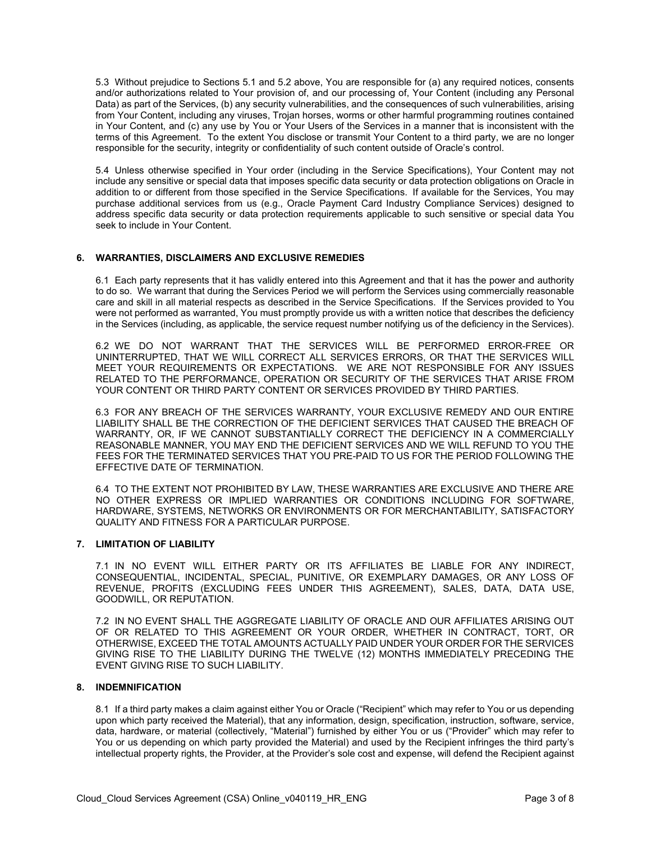5.3 Without prejudice to Sections 5.1 and 5.2 above, You are responsible for (a) any required notices, consents and/or authorizations related to Your provision of, and our processing of, Your Content (including any Personal Data) as part of the Services, (b) any security vulnerabilities, and the consequences of such vulnerabilities, arising from Your Content, including any viruses, Trojan horses, worms or other harmful programming routines contained in Your Content, and (c) any use by You or Your Users of the Services in a manner that is inconsistent with the terms of this Agreement. To the extent You disclose or transmit Your Content to a third party, we are no longer responsible for the security, integrity or confidentiality of such content outside of Oracle's control.

5.4 Unless otherwise specified in Your order (including in the Service Specifications), Your Content may not include any sensitive or special data that imposes specific data security or data protection obligations on Oracle in addition to or different from those specified in the Service Specifications. If available for the Services, You may purchase additional services from us (e.g., Oracle Payment Card Industry Compliance Services) designed to address specific data security or data protection requirements applicable to such sensitive or special data You seek to include in Your Content.

#### **6. WARRANTIES, DISCLAIMERS AND EXCLUSIVE REMEDIES**

6.1 Each party represents that it has validly entered into this Agreement and that it has the power and authority to do so. We warrant that during the Services Period we will perform the Services using commercially reasonable care and skill in all material respects as described in the Service Specifications. If the Services provided to You were not performed as warranted, You must promptly provide us with a written notice that describes the deficiency in the Services (including, as applicable, the service request number notifying us of the deficiency in the Services).

6.2 WE DO NOT WARRANT THAT THE SERVICES WILL BE PERFORMED ERROR-FREE OR UNINTERRUPTED, THAT WE WILL CORRECT ALL SERVICES ERRORS, OR THAT THE SERVICES WILL MEET YOUR REQUIREMENTS OR EXPECTATIONS. WE ARE NOT RESPONSIBLE FOR ANY ISSUES RELATED TO THE PERFORMANCE, OPERATION OR SECURITY OF THE SERVICES THAT ARISE FROM YOUR CONTENT OR THIRD PARTY CONTENT OR SERVICES PROVIDED BY THIRD PARTIES.

6.3 FOR ANY BREACH OF THE SERVICES WARRANTY, YOUR EXCLUSIVE REMEDY AND OUR ENTIRE LIABILITY SHALL BE THE CORRECTION OF THE DEFICIENT SERVICES THAT CAUSED THE BREACH OF WARRANTY, OR, IF WE CANNOT SUBSTANTIALLY CORRECT THE DEFICIENCY IN A COMMERCIALLY REASONABLE MANNER, YOU MAY END THE DEFICIENT SERVICES AND WE WILL REFUND TO YOU THE FEES FOR THE TERMINATED SERVICES THAT YOU PRE-PAID TO US FOR THE PERIOD FOLLOWING THE EFFECTIVE DATE OF TERMINATION.

6.4 TO THE EXTENT NOT PROHIBITED BY LAW, THESE WARRANTIES ARE EXCLUSIVE AND THERE ARE NO OTHER EXPRESS OR IMPLIED WARRANTIES OR CONDITIONS INCLUDING FOR SOFTWARE, HARDWARE, SYSTEMS, NETWORKS OR ENVIRONMENTS OR FOR MERCHANTABILITY, SATISFACTORY QUALITY AND FITNESS FOR A PARTICULAR PURPOSE.

# **7. LIMITATION OF LIABILITY**

7.1 IN NO EVENT WILL EITHER PARTY OR ITS AFFILIATES BE LIABLE FOR ANY INDIRECT, CONSEQUENTIAL, INCIDENTAL, SPECIAL, PUNITIVE, OR EXEMPLARY DAMAGES, OR ANY LOSS OF REVENUE, PROFITS (EXCLUDING FEES UNDER THIS AGREEMENT), SALES, DATA, DATA USE, GOODWILL, OR REPUTATION.

7.2 IN NO EVENT SHALL THE AGGREGATE LIABILITY OF ORACLE AND OUR AFFILIATES ARISING OUT OF OR RELATED TO THIS AGREEMENT OR YOUR ORDER, WHETHER IN CONTRACT, TORT, OR OTHERWISE, EXCEED THE TOTAL AMOUNTS ACTUALLY PAID UNDER YOUR ORDER FOR THE SERVICES GIVING RISE TO THE LIABILITY DURING THE TWELVE (12) MONTHS IMMEDIATELY PRECEDING THE EVENT GIVING RISE TO SUCH LIABILITY.

#### **8. INDEMNIFICATION**

8.1 If a third party makes a claim against either You or Oracle ("Recipient" which may refer to You or us depending upon which party received the Material), that any information, design, specification, instruction, software, service, data, hardware, or material (collectively, "Material") furnished by either You or us ("Provider" which may refer to You or us depending on which party provided the Material) and used by the Recipient infringes the third party's intellectual property rights, the Provider, at the Provider's sole cost and expense, will defend the Recipient against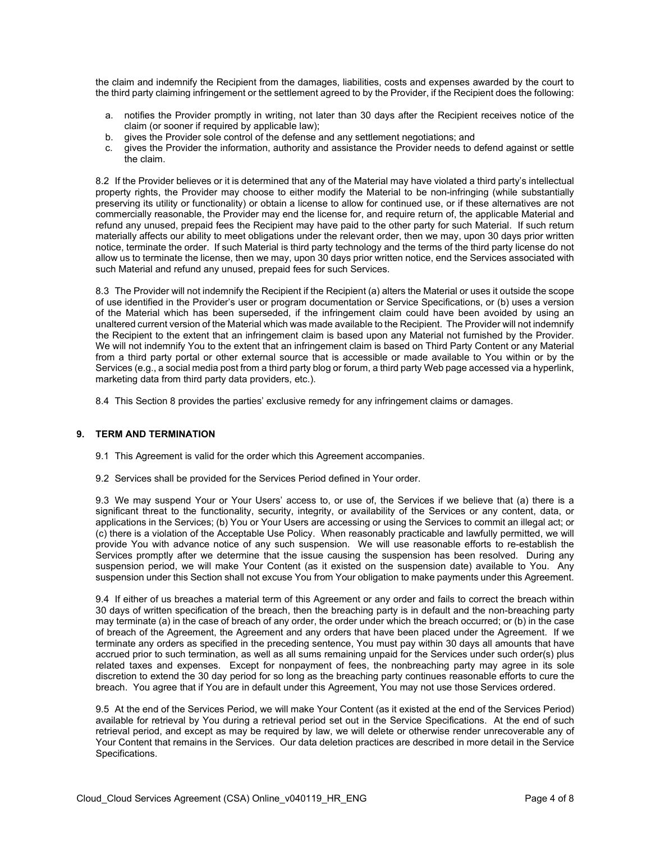the claim and indemnify the Recipient from the damages, liabilities, costs and expenses awarded by the court to the third party claiming infringement or the settlement agreed to by the Provider, if the Recipient does the following:

- a. notifies the Provider promptly in writing, not later than 30 days after the Recipient receives notice of the claim (or sooner if required by applicable law);
- b. gives the Provider sole control of the defense and any settlement negotiations; and
- c. gives the Provider the information, authority and assistance the Provider needs to defend against or settle the claim.

8.2 If the Provider believes or it is determined that any of the Material may have violated a third party's intellectual property rights, the Provider may choose to either modify the Material to be non-infringing (while substantially preserving its utility or functionality) or obtain a license to allow for continued use, or if these alternatives are not commercially reasonable, the Provider may end the license for, and require return of, the applicable Material and refund any unused, prepaid fees the Recipient may have paid to the other party for such Material. If such return materially affects our ability to meet obligations under the relevant order, then we may, upon 30 days prior written notice, terminate the order. If such Material is third party technology and the terms of the third party license do not allow us to terminate the license, then we may, upon 30 days prior written notice, end the Services associated with such Material and refund any unused, prepaid fees for such Services.

8.3 The Provider will not indemnify the Recipient if the Recipient (a) alters the Material or uses it outside the scope of use identified in the Provider's user or program documentation or Service Specifications, or (b) uses a version of the Material which has been superseded, if the infringement claim could have been avoided by using an unaltered current version of the Material which was made available to the Recipient. The Provider will not indemnify the Recipient to the extent that an infringement claim is based upon any Material not furnished by the Provider. We will not indemnify You to the extent that an infringement claim is based on Third Party Content or any Material from a third party portal or other external source that is accessible or made available to You within or by the Services (e.g., a social media post from a third party blog or forum, a third party Web page accessed via a hyperlink, marketing data from third party data providers, etc.).

8.4 This Section 8 provides the parties' exclusive remedy for any infringement claims or damages.

#### **9. TERM AND TERMINATION**

- 9.1 This Agreement is valid for the order which this Agreement accompanies.
- 9.2 Services shall be provided for the Services Period defined in Your order.

9.3 We may suspend Your or Your Users' access to, or use of, the Services if we believe that (a) there is a significant threat to the functionality, security, integrity, or availability of the Services or any content, data, or applications in the Services; (b) You or Your Users are accessing or using the Services to commit an illegal act; or (c) there is a violation of the Acceptable Use Policy. When reasonably practicable and lawfully permitted, we will provide You with advance notice of any such suspension. We will use reasonable efforts to re-establish the Services promptly after we determine that the issue causing the suspension has been resolved. During any suspension period, we will make Your Content (as it existed on the suspension date) available to You. Any suspension under this Section shall not excuse You from Your obligation to make payments under this Agreement.

9.4 If either of us breaches a material term of this Agreement or any order and fails to correct the breach within 30 days of written specification of the breach, then the breaching party is in default and the non-breaching party may terminate (a) in the case of breach of any order, the order under which the breach occurred; or (b) in the case of breach of the Agreement, the Agreement and any orders that have been placed under the Agreement. If we terminate any orders as specified in the preceding sentence, You must pay within 30 days all amounts that have accrued prior to such termination, as well as all sums remaining unpaid for the Services under such order(s) plus related taxes and expenses. Except for nonpayment of fees, the nonbreaching party may agree in its sole discretion to extend the 30 day period for so long as the breaching party continues reasonable efforts to cure the breach. You agree that if You are in default under this Agreement, You may not use those Services ordered.

9.5 At the end of the Services Period, we will make Your Content (as it existed at the end of the Services Period) available for retrieval by You during a retrieval period set out in the Service Specifications. At the end of such retrieval period, and except as may be required by law, we will delete or otherwise render unrecoverable any of Your Content that remains in the Services. Our data deletion practices are described in more detail in the Service Specifications.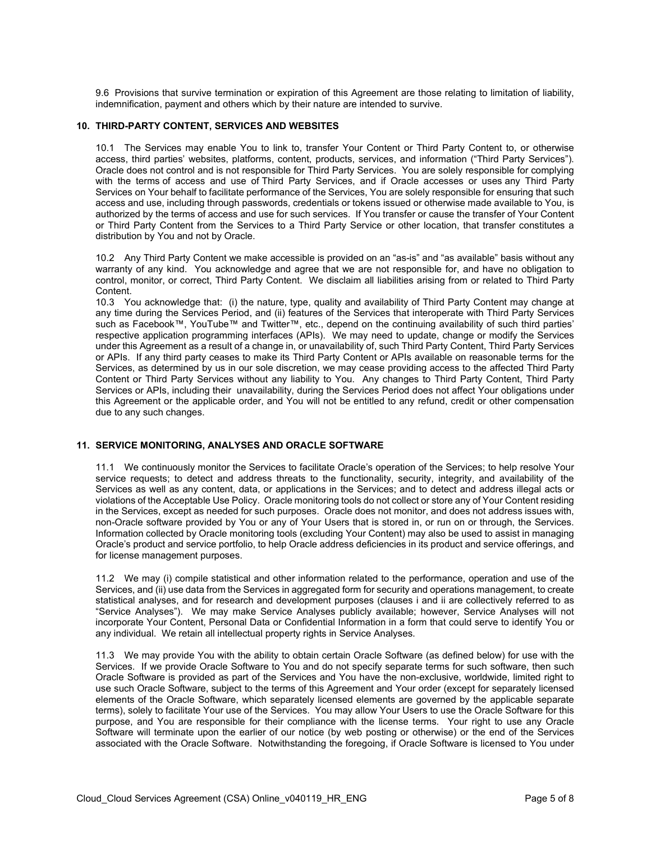9.6 Provisions that survive termination or expiration of this Agreement are those relating to limitation of liability, indemnification, payment and others which by their nature are intended to survive.

#### **10. THIRD-PARTY CONTENT, SERVICES AND WEBSITES**

10.1 The Services may enable You to link to, transfer Your Content or Third Party Content to, or otherwise access, third parties' websites, platforms, content, products, services, and information ("Third Party Services"). Oracle does not control and is not responsible for Third Party Services. You are solely responsible for complying with the terms of access and use of Third Party Services, and if Oracle accesses or uses any Third Party Services on Your behalf to facilitate performance of the Services, You are solely responsible for ensuring that such access and use, including through passwords, credentials or tokens issued or otherwise made available to You, is authorized by the terms of access and use for such services. If You transfer or cause the transfer of Your Content or Third Party Content from the Services to a Third Party Service or other location, that transfer constitutes a distribution by You and not by Oracle.

10.2 Any Third Party Content we make accessible is provided on an "as-is" and "as available" basis without any warranty of any kind. You acknowledge and agree that we are not responsible for, and have no obligation to control, monitor, or correct, Third Party Content. We disclaim all liabilities arising from or related to Third Party Content.

10.3 You acknowledge that: (i) the nature, type, quality and availability of Third Party Content may change at any time during the Services Period, and (ii) features of the Services that interoperate with Third Party Services such as Facebook™, YouTube™ and Twitter™, etc., depend on the continuing availability of such third parties' respective application programming interfaces (APIs). We may need to update, change or modify the Services under this Agreement as a result of a change in, or unavailability of, such Third Party Content, Third Party Services or APIs. If any third party ceases to make its Third Party Content or APIs available on reasonable terms for the Services, as determined by us in our sole discretion, we may cease providing access to the affected Third Party Content or Third Party Services without any liability to You. Any changes to Third Party Content, Third Party Services or APIs, including their unavailability, during the Services Period does not affect Your obligations under this Agreement or the applicable order, and You will not be entitled to any refund, credit or other compensation due to any such changes.

#### **11. SERVICE MONITORING, ANALYSES AND ORACLE SOFTWARE**

11.1 We continuously monitor the Services to facilitate Oracle's operation of the Services; to help resolve Your service requests; to detect and address threats to the functionality, security, integrity, and availability of the Services as well as any content, data, or applications in the Services; and to detect and address illegal acts or violations of the Acceptable Use Policy. Oracle monitoring tools do not collect or store any of Your Content residing in the Services, except as needed for such purposes. Oracle does not monitor, and does not address issues with, non-Oracle software provided by You or any of Your Users that is stored in, or run on or through, the Services. Information collected by Oracle monitoring tools (excluding Your Content) may also be used to assist in managing Oracle's product and service portfolio, to help Oracle address deficiencies in its product and service offerings, and for license management purposes.

11.2 We may (i) compile statistical and other information related to the performance, operation and use of the Services, and (ii) use data from the Services in aggregated form for security and operations management, to create statistical analyses, and for research and development purposes (clauses i and ii are collectively referred to as "Service Analyses"). We may make Service Analyses publicly available; however, Service Analyses will not incorporate Your Content, Personal Data or Confidential Information in a form that could serve to identify You or any individual. We retain all intellectual property rights in Service Analyses.

11.3 We may provide You with the ability to obtain certain Oracle Software (as defined below) for use with the Services. If we provide Oracle Software to You and do not specify separate terms for such software, then such Oracle Software is provided as part of the Services and You have the non-exclusive, worldwide, limited right to use such Oracle Software, subject to the terms of this Agreement and Your order (except for separately licensed elements of the Oracle Software, which separately licensed elements are governed by the applicable separate terms), solely to facilitate Your use of the Services. You may allow Your Users to use the Oracle Software for this purpose, and You are responsible for their compliance with the license terms. Your right to use any Oracle Software will terminate upon the earlier of our notice (by web posting or otherwise) or the end of the Services associated with the Oracle Software. Notwithstanding the foregoing, if Oracle Software is licensed to You under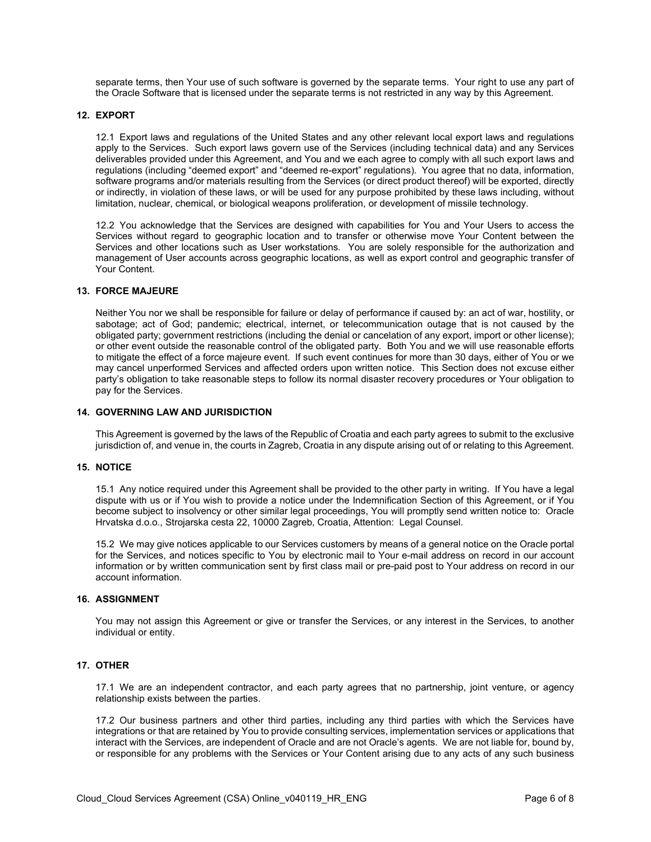separate terms, then Your use of such software is governed by the separate terms. Your right to use any part of the Oracle Software that is licensed under the separate terms is not restricted in any way by this Agreement.

#### **12. EXPORT**

12.1 Export laws and regulations of the United States and any other relevant local export laws and regulations apply to the Services. Such export laws govern use of the Services (including technical data) and any Services deliverables provided under this Agreement, and You and we each agree to comply with all such export laws and regulations (including "deemed export" and "deemed re-export" regulations). You agree that no data, information, software programs and/or materials resulting from the Services (or direct product thereof) will be exported, directly or indirectly, in violation of these laws, or will be used for any purpose prohibited by these laws including, without limitation, nuclear, chemical, or biological weapons proliferation, or development of missile technology.

12.2 You acknowledge that the Services are designed with capabilities for You and Your Users to access the Services without regard to geographic location and to transfer or otherwise move Your Content between the Services and other locations such as User workstations. You are solely responsible for the authorization and management of User accounts across geographic locations, as well as export control and geographic transfer of Your Content.

#### **13. FORCE MAJEURE**

Neither You nor we shall be responsible for failure or delay of performance if caused by: an act of war, hostility, or sabotage; act of God; pandemic; electrical, internet, or telecommunication outage that is not caused by the obligated party; government restrictions (including the denial or cancelation of any export, import or other license); or other event outside the reasonable control of the obligated party. Both You and we will use reasonable efforts to mitigate the effect of a force majeure event. If such event continues for more than 30 days, either of You or we may cancel unperformed Services and affected orders upon written notice. This Section does not excuse either party's obligation to take reasonable steps to follow its normal disaster recovery procedures or Your obligation to pay for the Services.

#### **14. GOVERNING LAW AND JURISDICTION**

This Agreement is governed by the laws of the Republic of Croatia and each party agrees to submit to the exclusive jurisdiction of, and venue in, the courts in Zagreb, Croatia in any dispute arising out of or relating to this Agreement.

#### **15. NOTICE**

15.1 Any notice required under this Agreement shall be provided to the other party in writing. If You have a legal dispute with us or if You wish to provide a notice under the Indemnification Section of this Agreement, or if You become subject to insolvency or other similar legal proceedings, You will promptly send written notice to: Oracle Hrvatska d.o.o., Strojarska cesta 22, 10000 Zagreb, Croatia, Attention: Legal Counsel.

15.2 We may give notices applicable to our Services customers by means of a general notice on the Oracle portal for the Services, and notices specific to You by electronic mail to Your e-mail address on record in our account information or by written communication sent by first class mail or pre-paid post to Your address on record in our account information.

#### **16. ASSIGNMENT**

You may not assign this Agreement or give or transfer the Services, or any interest in the Services, to another individual or entity.

#### **17. OTHER**

17.1 We are an independent contractor, and each party agrees that no partnership, joint venture, or agency relationship exists between the parties.

17.2 Our business partners and other third parties, including any third parties with which the Services have integrations or that are retained by You to provide consulting services, implementation services or applications that interact with the Services, are independent of Oracle and are not Oracle's agents. We are not liable for, bound by, or responsible for any problems with the Services or Your Content arising due to any acts of any such business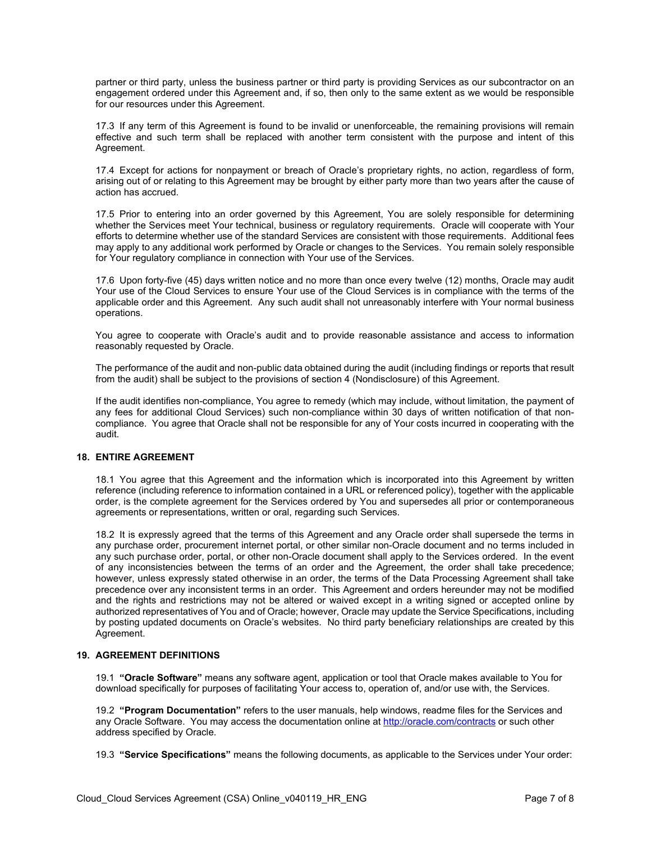partner or third party, unless the business partner or third party is providing Services as our subcontractor on an engagement ordered under this Agreement and, if so, then only to the same extent as we would be responsible for our resources under this Agreement.

17.3 If any term of this Agreement is found to be invalid or unenforceable, the remaining provisions will remain effective and such term shall be replaced with another term consistent with the purpose and intent of this Agreement.

17.4 Except for actions for nonpayment or breach of Oracle's proprietary rights, no action, regardless of form, arising out of or relating to this Agreement may be brought by either party more than two years after the cause of action has accrued.

17.5 Prior to entering into an order governed by this Agreement, You are solely responsible for determining whether the Services meet Your technical, business or regulatory requirements. Oracle will cooperate with Your efforts to determine whether use of the standard Services are consistent with those requirements. Additional fees may apply to any additional work performed by Oracle or changes to the Services. You remain solely responsible for Your regulatory compliance in connection with Your use of the Services.

17.6 Upon forty-five (45) days written notice and no more than once every twelve (12) months, Oracle may audit Your use of the Cloud Services to ensure Your use of the Cloud Services is in compliance with the terms of the applicable order and this Agreement. Any such audit shall not unreasonably interfere with Your normal business operations.

You agree to cooperate with Oracle's audit and to provide reasonable assistance and access to information reasonably requested by Oracle.

The performance of the audit and non-public data obtained during the audit (including findings or reports that result from the audit) shall be subject to the provisions of section 4 (Nondisclosure) of this Agreement.

If the audit identifies non-compliance, You agree to remedy (which may include, without limitation, the payment of any fees for additional Cloud Services) such non-compliance within 30 days of written notification of that noncompliance. You agree that Oracle shall not be responsible for any of Your costs incurred in cooperating with the audit.

#### **18. ENTIRE AGREEMENT**

18.1 You agree that this Agreement and the information which is incorporated into this Agreement by written reference (including reference to information contained in a URL or referenced policy), together with the applicable order, is the complete agreement for the Services ordered by You and supersedes all prior or contemporaneous agreements or representations, written or oral, regarding such Services.

18.2 It is expressly agreed that the terms of this Agreement and any Oracle order shall supersede the terms in any purchase order, procurement internet portal, or other similar non-Oracle document and no terms included in any such purchase order, portal, or other non-Oracle document shall apply to the Services ordered. In the event of any inconsistencies between the terms of an order and the Agreement, the order shall take precedence; however, unless expressly stated otherwise in an order, the terms of the Data Processing Agreement shall take precedence over any inconsistent terms in an order. This Agreement and orders hereunder may not be modified and the rights and restrictions may not be altered or waived except in a writing signed or accepted online by authorized representatives of You and of Oracle; however, Oracle may update the Service Specifications, including by posting updated documents on Oracle's websites. No third party beneficiary relationships are created by this Agreement.

# **19. AGREEMENT DEFINITIONS**

19.1 **"Oracle Software"** means any software agent, application or tool that Oracle makes available to You for download specifically for purposes of facilitating Your access to, operation of, and/or use with, the Services.

19.2 **"Program Documentation"** refers to the user manuals, help windows, readme files for the Services and any Oracle Software. You may access the documentation online a[t http://oracle.com/contracts](http://oracle.com/contracts) or such other address specified by Oracle.

19.3 **"Service Specifications"** means the following documents, as applicable to the Services under Your order: